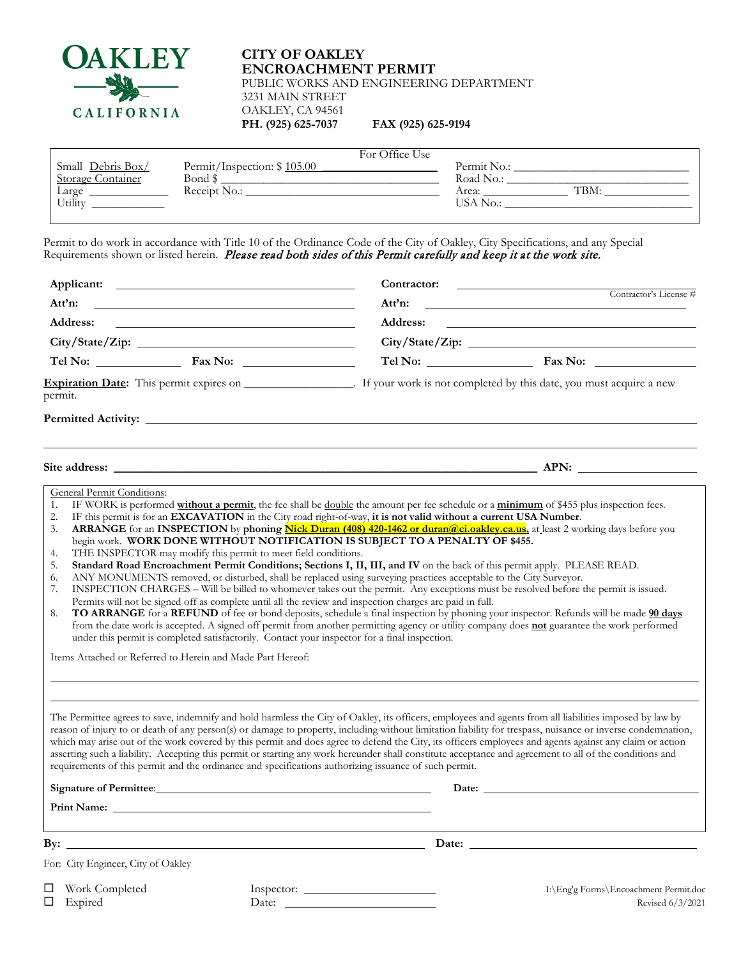

## **CITY OF OAKLEY ENCROACHMENT PERMIT** PUBLIC WORKS AND ENGINEERING DEPARTMENT 3231 MAIN STREET OAKLEY, CA 94561 **PH.** (925) 625-7037

| FAX (925) 625-9194 |  |  |  |
|--------------------|--|--|--|
|--------------------|--|--|--|

|                          |                             | For Office Use |             |      |
|--------------------------|-----------------------------|----------------|-------------|------|
| Small Debris Box/        | Permit/Inspection: \$105.00 |                | Permit No.: |      |
| <b>Storage Container</b> | Bond \$                     |                | Road No.:   |      |
| Large                    | Receipt No.:                |                | Area:       | TBM: |
| Utility                  |                             |                | USA No.:    |      |
|                          |                             |                |             |      |

Permit to do work in accordance with Title 10 of the Ordinance Code of the City of Oakley, City Specifications, and any Special Requirements shown or listed herein. *Please read both sides of this Permit carefully and keep it at the work site.* 

| Applicant:                                                                                                                                                                                                                                                        |       | Contractor:                                                                                                                                                                                                                                                                                                   |                                                                                                                                                                                                                                                                                                                                                                                                                                                                                                                                                                                                                                                                                      |  |  |
|-------------------------------------------------------------------------------------------------------------------------------------------------------------------------------------------------------------------------------------------------------------------|-------|---------------------------------------------------------------------------------------------------------------------------------------------------------------------------------------------------------------------------------------------------------------------------------------------------------------|--------------------------------------------------------------------------------------------------------------------------------------------------------------------------------------------------------------------------------------------------------------------------------------------------------------------------------------------------------------------------------------------------------------------------------------------------------------------------------------------------------------------------------------------------------------------------------------------------------------------------------------------------------------------------------------|--|--|
| Att'n:                                                                                                                                                                                                                                                            |       | Contractor's License #<br>Att'n:<br>Address:                                                                                                                                                                                                                                                                  |                                                                                                                                                                                                                                                                                                                                                                                                                                                                                                                                                                                                                                                                                      |  |  |
| Address:                                                                                                                                                                                                                                                          |       |                                                                                                                                                                                                                                                                                                               |                                                                                                                                                                                                                                                                                                                                                                                                                                                                                                                                                                                                                                                                                      |  |  |
|                                                                                                                                                                                                                                                                   |       |                                                                                                                                                                                                                                                                                                               |                                                                                                                                                                                                                                                                                                                                                                                                                                                                                                                                                                                                                                                                                      |  |  |
|                                                                                                                                                                                                                                                                   |       |                                                                                                                                                                                                                                                                                                               |                                                                                                                                                                                                                                                                                                                                                                                                                                                                                                                                                                                                                                                                                      |  |  |
| permit.                                                                                                                                                                                                                                                           |       |                                                                                                                                                                                                                                                                                                               |                                                                                                                                                                                                                                                                                                                                                                                                                                                                                                                                                                                                                                                                                      |  |  |
|                                                                                                                                                                                                                                                                   |       |                                                                                                                                                                                                                                                                                                               |                                                                                                                                                                                                                                                                                                                                                                                                                                                                                                                                                                                                                                                                                      |  |  |
|                                                                                                                                                                                                                                                                   |       |                                                                                                                                                                                                                                                                                                               |                                                                                                                                                                                                                                                                                                                                                                                                                                                                                                                                                                                                                                                                                      |  |  |
| 3.<br>THE INSPECTOR may modify this permit to meet field conditions.<br>4.<br>5.<br>6.<br>7.<br>8.<br>under this permit is completed satisfactorily. Contact your inspector for a final inspection.<br>Items Attached or Referred to Herein and Made Part Hereof: |       | begin work. WORK DONE WITHOUT NOTIFICATION IS SUBJECT TO A PENALTY OF \$455.<br>ANY MONUMENTS removed, or disturbed, shall be replaced using surveying practices acceptable to the City Surveyor.<br>Permits will not be signed off as complete until all the review and inspection charges are paid in full. | ARRANGE for an INSPECTION by phoning Nick Duran (408) 420-1462 or duran@ci.oakley.ca.us, at least 2 working days before you<br>Standard Road Encroachment Permit Conditions; Sections I, II, III, and IV on the back of this permit apply. PLEASE READ.<br>INSPECTION CHARGES – Will be billed to whomever takes out the permit. Any exceptions must be resolved before the permit is issued.<br>TO ARRANGE for a REFUND of fee or bond deposits, schedule a final inspection by phoning your inspector. Refunds will be made 90 days<br>from the date work is accepted. A signed off permit from another permitting agency or utility company does not guarantee the work performed |  |  |
| requirements of this permit and the ordinance and specifications authorizing issuance of such permit.                                                                                                                                                             |       |                                                                                                                                                                                                                                                                                                               | The Permittee agrees to save, indemnify and hold harmless the City of Oakley, its officers, employees and agents from all liabilities imposed by law by<br>reason of injury to or death of any person(s) or damage to property, including without limitation liability for trespass, nuisance or inverse condemnation,<br>which may arise out of the work covered by this permit and does agree to defend the City, its officers employees and agents against any claim or action<br>asserting such a liability. Accepting this permit or starting any work hereunder shall constitute acceptance and agreement to all of the conditions and                                         |  |  |
| Signature of Permittee: University of American Signature of Permittee:                                                                                                                                                                                            |       |                                                                                                                                                                                                                                                                                                               |                                                                                                                                                                                                                                                                                                                                                                                                                                                                                                                                                                                                                                                                                      |  |  |
|                                                                                                                                                                                                                                                                   |       |                                                                                                                                                                                                                                                                                                               |                                                                                                                                                                                                                                                                                                                                                                                                                                                                                                                                                                                                                                                                                      |  |  |
|                                                                                                                                                                                                                                                                   |       |                                                                                                                                                                                                                                                                                                               | Date:                                                                                                                                                                                                                                                                                                                                                                                                                                                                                                                                                                                                                                                                                |  |  |
| For: City Engineer, City of Oakley                                                                                                                                                                                                                                |       |                                                                                                                                                                                                                                                                                                               |                                                                                                                                                                                                                                                                                                                                                                                                                                                                                                                                                                                                                                                                                      |  |  |
| <b></b><br>$\Box$ Work Completed<br>$\Box$ Expired                                                                                                                                                                                                                | Date: | Inspector:                                                                                                                                                                                                                                                                                                    | .<br>I:\Eng'g Forms\Encoachment Permit.doc<br>Revised 6/3/2021                                                                                                                                                                                                                                                                                                                                                                                                                                                                                                                                                                                                                       |  |  |

 $\blacksquare$